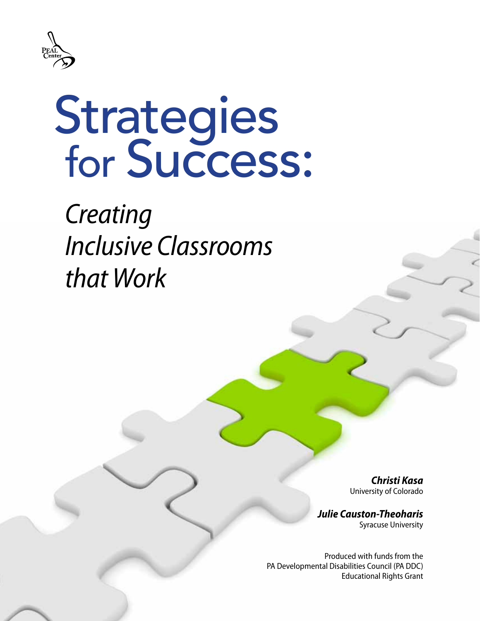

# Strategies for Success:

 *Creating Inclusive Classrooms that Work*

> *Christi Kasa* University of Colorado

*Julie Causton-Theoharis* Syracuse University

Produced with funds from the PA Developmental Disabilities Council (PA DDC) Educational Rights Grant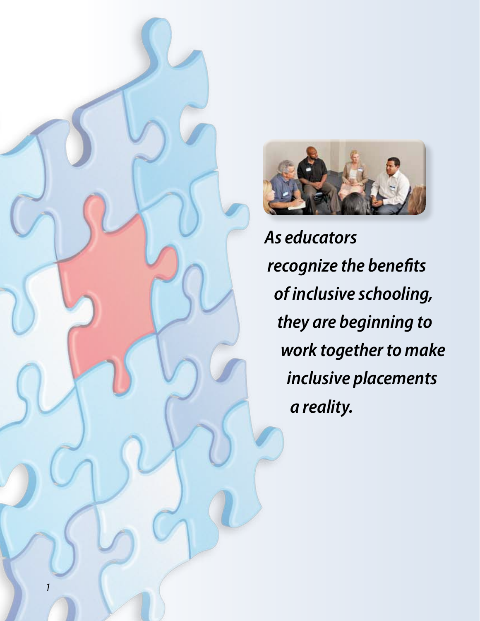



*As educators recognize the benefits of inclusive schooling, they are beginning to work together to make inclusive placements a reality.*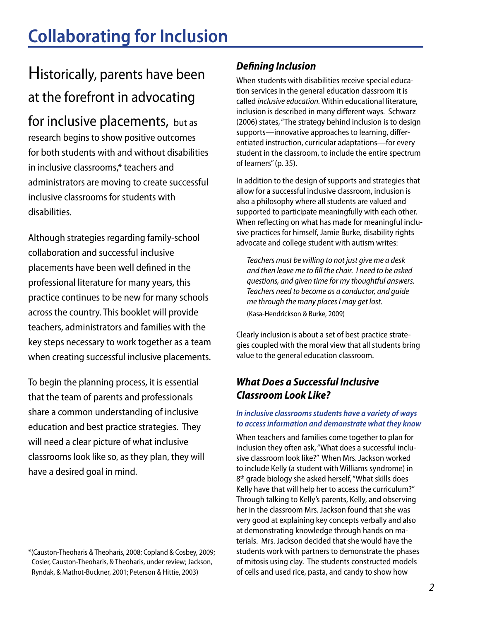# **Collaborating for Inclusion**

# Historically, parents have been at the forefront in advocating

for inclusive placements, but as research begins to show positive outcomes for both students with and without disabilities in inclusive classrooms,\* teachers and administrators are moving to create successful inclusive classrooms for students with disabilities.

Although strategies regarding family-school collaboration and successful inclusive placements have been well defined in the professional literature for many years, this practice continues to be new for many schools across the country. This booklet will provide teachers, administrators and families with the key steps necessary to work together as a team when creating successful inclusive placements.

To begin the planning process, it is essential that the team of parents and professionals share a common understanding of inclusive education and best practice strategies. They will need a clear picture of what inclusive classrooms look like so, as they plan, they will have a desired goal in mind.

#### *Defining Inclusion*

When students with disabilities receive special education services in the general education classroom it is called *inclusive education.* Within educational literature, inclusion is described in many different ways. Schwarz (2006) states, "The strategy behind inclusion is to design supports—innovative approaches to learning, differentiated instruction, curricular adaptations—for every student in the classroom, to include the entire spectrum of learners" (p. 35).

In addition to the design of supports and strategies that allow for a successful inclusive classroom, inclusion is also a philosophy where all students are valued and supported to participate meaningfully with each other. When reflecting on what has made for meaningful inclusive practices for himself, Jamie Burke, disability rights advocate and college student with autism writes:

*Teachers must be willing to not just give me a desk and then leave me to fill the chair. I need to be asked questions, and given time for my thoughtful answers. Teachers need to become as a conductor, and guide me through the many places I may get lost.* (Kasa-Hendrickson & Burke, 2009)

Clearly inclusion is about a set of best practice strategies coupled with the moral view that all students bring value to the general education classroom.

#### *What Does a Successful Inclusive Classroom Look Like?*

#### *In inclusive classrooms students have a variety of ways to access information and demonstrate what they know*

When teachers and families come together to plan for inclusion they often ask, "What does a successful inclusive classroom look like?" When Mrs. Jackson worked to include Kelly (a student with Williams syndrome) in 8<sup>th</sup> grade biology she asked herself, "What skills does Kelly have that will help her to access the curriculum?" Through talking to Kelly's parents, Kelly, and observing her in the classroom Mrs. Jackson found that she was very good at explaining key concepts verbally and also at demonstrating knowledge through hands on materials. Mrs. Jackson decided that she would have the students work with partners to demonstrate the phases of mitosis using clay. The students constructed models of cells and used rice, pasta, and candy to show how

<sup>\*(</sup>Causton-Theoharis & Theoharis, 2008; Copland & Cosbey, 2009; Cosier, Causton-Theoharis, & Theoharis, under review; Jackson, Ryndak, & Mathot-Buckner, 2001; Peterson & Hittie, 2003)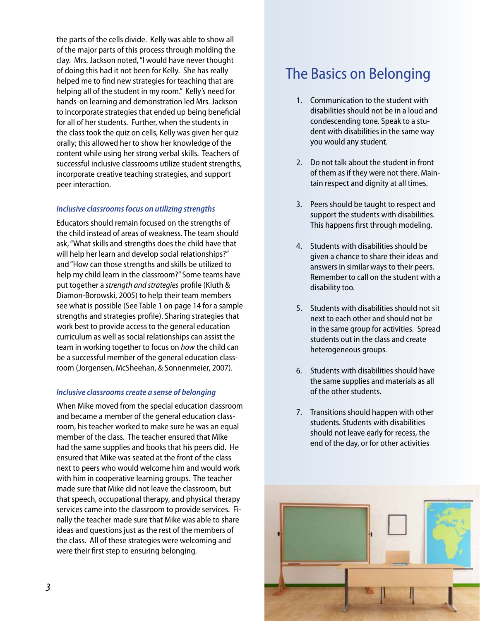the parts of the cells divide. Kelly was able to show all of the major parts of this process through molding the clay. Mrs. Jackson noted, "I would have never thought of doing this had it not been for Kelly. She has really helped me to find new strategies for teaching that are helping all of the student in my room." Kelly's need for hands-on learning and demonstration led Mrs. Jackson to incorporate strategies that ended up being beneficial for all of her students. Further, when the students in the class took the quiz on cells, Kelly was given her quiz orally; this allowed her to show her knowledge of the content while using her strong verbal skills. Teachers of successful inclusive classrooms utilize student strengths, incorporate creative teaching strategies, and support peer interaction.

#### *Inclusive classrooms focus on utilizing strengths*

Educators should remain focused on the strengths of the child instead of areas of weakness. The team should ask, "What skills and strengths does the child have that will help her learn and develop social relationships?" and "How can those strengths and skills be utilized to help my child learn in the classroom?" Some teams have put together a *strength and strategies* profile (Kluth & Diamon-Borowski, 2005) to help their team members see what is possible (See Table 1 on page 14 for a sample strengths and strategies profile). Sharing strategies that work best to provide access to the general education curriculum as well as social relationships can assist the team in working together to focus on *how* the child can be a successful member of the general education classroom (Jorgensen, McSheehan, & Sonnenmeier, 2007).

#### *Inclusive classrooms create a sense of belonging*

When Mike moved from the special education classroom and became a member of the general education classroom, his teacher worked to make sure he was an equal member of the class. The teacher ensured that Mike had the same supplies and books that his peers did. He ensured that Mike was seated at the front of the class next to peers who would welcome him and would work with him in cooperative learning groups. The teacher made sure that Mike did not leave the classroom, but that speech, occupational therapy, and physical therapy services came into the classroom to provide services. Finally the teacher made sure that Mike was able to share ideas and questions just as the rest of the members of the class. All of these strategies were welcoming and were their first step to ensuring belonging.

### The Basics on Belonging

- 1. Communication to the student with disabilities should not be in a loud and condescending tone. Speak to a student with disabilities in the same way you would any student.
- 2. Do not talk about the student in front of them as if they were not there. Maintain respect and dignity at all times.
- 3. Peers should be taught to respect and support the students with disabilities. This happens first through modeling.
- 4. Students with disabilities should be given a chance to share their ideas and answers in similar ways to their peers. Remember to call on the student with a disability too.
- 5. Students with disabilities should not sit next to each other and should not be in the same group for activities. Spread students out in the class and create heterogeneous groups.
- 6. Students with disabilities should have the same supplies and materials as all of the other students.
- 7. Transitions should happen with other students. Students with disabilities should not leave early for recess, the end of the day, or for other activities

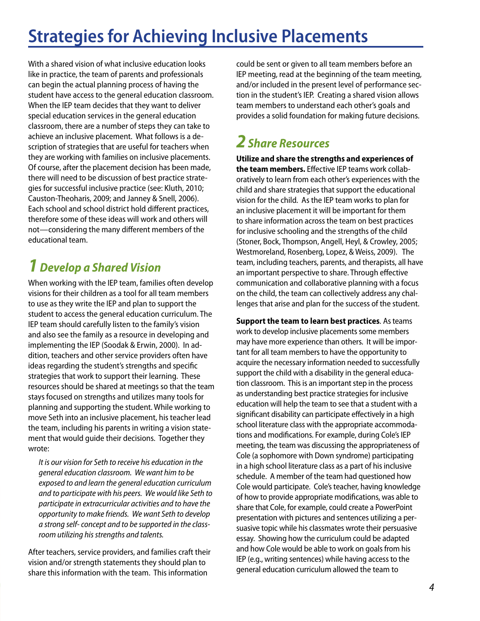# **Strategies for Achieving Inclusive Placements**

With a shared vision of what inclusive education looks like in practice, the team of parents and professionals can begin the actual planning process of having the student have access to the general education classroom. When the IEP team decides that they want to deliver special education services in the general education classroom, there are a number of steps they can take to achieve an inclusive placement. What follows is a description of strategies that are useful for teachers when they are working with families on inclusive placements. Of course, after the placement decision has been made, there will need to be discussion of best practice strategies for successful inclusive practice (see: Kluth, 2010; Causton-Theoharis, 2009; and Janney & Snell, 2006). Each school and school district hold different practices, therefore some of these ideas will work and others will not—considering the many different members of the educational team.

### *1 Develop a Shared Vision*

When working with the IEP team, families often develop visions for their children as a tool for all team members to use as they write the IEP and plan to support the student to access the general education curriculum. The IEP team should carefully listen to the family's vision and also see the family as a resource in developing and implementing the IEP (Soodak & Erwin, 2000). In addition, teachers and other service providers often have ideas regarding the student's strengths and specific strategies that work to support their learning. These resources should be shared at meetings so that the team stays focused on strengths and utilizes many tools for planning and supporting the student. While working to move Seth into an inclusive placement, his teacher lead the team, including his parents in writing a vision statement that would guide their decisions. Together they wrote:

*It is our vision for Seth to receive his education in the general education classroom. We want him to be exposed to and learn the general education curriculum and to participate with his peers. We would like Seth to participate in extracurricular activities and to have the opportunity to make friends. We want Seth to develop a strong self- concept and to be supported in the classroom utilizing his strengths and talents.* 

After teachers, service providers, and families craft their vision and/or strength statements they should plan to share this information with the team. This information

could be sent or given to all team members before an IEP meeting, read at the beginning of the team meeting, and/or included in the present level of performance section in the student's IEP. Creating a shared vision allows team members to understand each other's goals and provides a solid foundation for making future decisions.

### *2 Share Resources*

**Utilize and share the strengths and experiences of the team members.** Effective IEP teams work collaboratively to learn from each other's experiences with the child and share strategies that support the educational vision for the child. As the IEP team works to plan for an inclusive placement it will be important for them to share information across the team on best practices for inclusive schooling and the strengths of the child (Stoner, Bock, Thompson, Angell, Heyl, & Crowley, 2005; Westmoreland, Rosenberg, Lopez, & Weiss, 2009). The team, including teachers, parents, and therapists, all have an important perspective to share. Through effective communication and collaborative planning with a focus on the child, the team can collectively address any challenges that arise and plan for the success of the student.

**Support the team to learn best practices***.* As teams work to develop inclusive placements some members may have more experience than others. It will be important for all team members to have the opportunity to acquire the necessary information needed to successfully support the child with a disability in the general education classroom. This is an important step in the process as understanding best practice strategies for inclusive education will help the team to see that a student with a significant disability can participate effectively in a high school literature class with the appropriate accommodations and modifications. For example, during Cole's IEP meeting, the team was discussing the appropriateness of Cole (a sophomore with Down syndrome) participating in a high school literature class as a part of his inclusive schedule. A member of the team had questioned how Cole would participate. Cole's teacher, having knowledge of how to provide appropriate modifications, was able to share that Cole, for example, could create a PowerPoint presentation with pictures and sentences utilizing a persuasive topic while his classmates wrote their persuasive essay. Showing how the curriculum could be adapted and how Cole would be able to work on goals from his IEP (e.g., writing sentences) while having access to the general education curriculum allowed the team to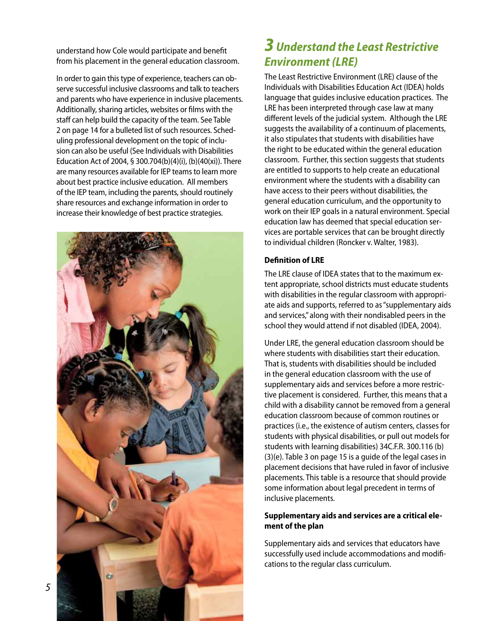understand how Cole would participate and benefit from his placement in the general education classroom.

In order to gain this type of experience, teachers can observe successful inclusive classrooms and talk to teachers and parents who have experience in inclusive placements. Additionally, sharing articles, websites or films with the staff can help build the capacity of the team. See Table 2 on page 14 for a bulleted list of such resources. Scheduling professional development on the topic of inclusion can also be useful (See Individuals with Disabilities Education Act of 2004, § 300.704(b)(4)(i), (b)(40(xi)). There are many resources available for IEP teams to learn more about best practice inclusive education. All members of the IEP team, including the parents, should routinely share resources and exchange information in order to increase their knowledge of best practice strategies.



### *3 Understand the Least Restrictive Environment (LRE)*

The Least Restrictive Environment (LRE) clause of the Individuals with Disabilities Education Act (IDEA) holds language that guides inclusive education practices. The LRE has been interpreted through case law at many different levels of the judicial system. Although the LRE suggests the availability of a continuum of placements, it also stipulates that students with disabilities have the right to be educated within the general education classroom. Further, this section suggests that students are entitled to supports to help create an educational environment where the students with a disability can have access to their peers without disabilities, the general education curriculum, and the opportunity to work on their IEP goals in a natural environment. Special education law has deemed that special education services are portable services that can be brought directly to individual children (Roncker v. Walter, 1983).

#### **Definition of LRE**

The LRE clause of IDEA states that to the maximum extent appropriate, school districts must educate students with disabilities in the regular classroom with appropriate aids and supports, referred to as "supplementary aids and services," along with their nondisabled peers in the school they would attend if not disabled (IDEA, 2004).

Under LRE, the general education classroom should be where students with disabilities start their education. That is, students with disabilities should be included in the general education classroom with the use of supplementary aids and services before a more restrictive placement is considered. Further, this means that a child with a disability cannot be removed from a general education classroom because of common routines or practices (i.e., the existence of autism centers, classes for students with physical disabilities, or pull out models for students with learning disabilities) 34C.F.R. 300.116 (b) (3)(e). Table 3 on page 15 is a guide of the legal cases in placement decisions that have ruled in favor of inclusive placements. This table is a resource that should provide some information about legal precedent in terms of inclusive placements.

#### **Supplementary aids and services are a critical element of the plan**

Supplementary aids and services that educators have successfully used include accommodations and modifications to the regular class curriculum.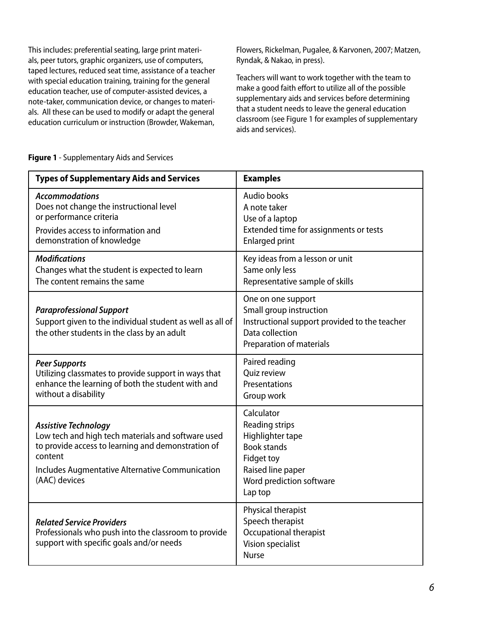This includes: preferential seating, large print materials, peer tutors, graphic organizers, use of computers, taped lectures, reduced seat time, assistance of a teacher with special education training, training for the general education teacher, use of computer-assisted devices, a note-taker, communication device, or changes to materials. All these can be used to modify or adapt the general education curriculum or instruction (Browder, Wakeman,

Flowers, Rickelman, Pugalee, & Karvonen, 2007; Matzen, Ryndak, & Nakao, in press).

Teachers will want to work together with the team to make a good faith effort to utilize all of the possible supplementary aids and services before determining that a student needs to leave the general education classroom (see Figure 1 for examples of supplementary aids and services).

| <b>Types of Supplementary Aids and Services</b>                                                                                                                                                                        | <b>Examples</b>                                                                                                                                  |
|------------------------------------------------------------------------------------------------------------------------------------------------------------------------------------------------------------------------|--------------------------------------------------------------------------------------------------------------------------------------------------|
| <b>Accommodations</b><br>Does not change the instructional level<br>or performance criteria<br>Provides access to information and<br>demonstration of knowledge                                                        | Audio books<br>A note taker<br>Use of a laptop<br>Extended time for assignments or tests<br><b>Enlarged print</b>                                |
| <b>Modifications</b><br>Changes what the student is expected to learn<br>The content remains the same                                                                                                                  | Key ideas from a lesson or unit<br>Same only less<br>Representative sample of skills                                                             |
| <b>Paraprofessional Support</b><br>Support given to the individual student as well as all of<br>the other students in the class by an adult                                                                            | One on one support<br>Small group instruction<br>Instructional support provided to the teacher<br>Data collection<br>Preparation of materials    |
| <b>Peer Supports</b><br>Utilizing classmates to provide support in ways that<br>enhance the learning of both the student with and<br>without a disability                                                              | Paired reading<br>Quiz review<br>Presentations<br>Group work                                                                                     |
| <b>Assistive Technology</b><br>Low tech and high tech materials and software used<br>to provide access to learning and demonstration of<br>content<br>Includes Augmentative Alternative Communication<br>(AAC) devices | Calculator<br>Reading strips<br>Highlighter tape<br><b>Book stands</b><br>Fidget toy<br>Raised line paper<br>Word prediction software<br>Lap top |
| <b>Related Service Providers</b><br>Professionals who push into the classroom to provide<br>support with specific goals and/or needs                                                                                   | Physical therapist<br>Speech therapist<br>Occupational therapist<br>Vision specialist<br><b>Nurse</b>                                            |

#### **Figure 1** - Supplementary Aids and Services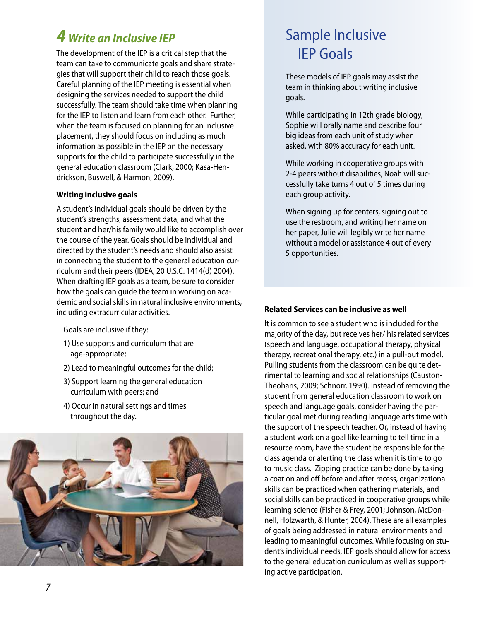### *4 Write an Inclusive IEP*

The development of the IEP is a critical step that the team can take to communicate goals and share strategies that will support their child to reach those goals. Careful planning of the IEP meeting is essential when designing the services needed to support the child successfully. The team should take time when planning for the IEP to listen and learn from each other. Further, when the team is focused on planning for an inclusive placement, they should focus on including as much information as possible in the IEP on the necessary supports for the child to participate successfully in the general education classroom (Clark, 2000; Kasa-Hendrickson, Buswell, & Harmon, 2009).

#### **Writing inclusive goals**

A student's individual goals should be driven by the student's strengths, assessment data, and what the student and her/his family would like to accomplish over the course of the year. Goals should be individual and directed by the student's needs and should also assist in connecting the student to the general education curriculum and their peers (IDEA, 20 U.S.C. 1414(d) 2004). When drafting IEP goals as a team, be sure to consider how the goals can guide the team in working on academic and social skills in natural inclusive environments, including extracurricular activities.

Goals are inclusive if they:

- 1) Use supports and curriculum that are age-appropriate;
- 2) Lead to meaningful outcomes for the child;
- 3) Support learning the general education curriculum with peers; and
- 4) Occur in natural settings and times throughout the day.



### Sample Inclusive IEP Goals

These models of IEP goals may assist the team in thinking about writing inclusive goals.

While participating in 12th grade biology, Sophie will orally name and describe four big ideas from each unit of study when asked, with 80% accuracy for each unit.

While working in cooperative groups with 2-4 peers without disabilities, Noah will successfully take turns 4 out of 5 times during each group activity.

When signing up for centers, signing out to use the restroom, and writing her name on her paper, Julie will legibly write her name without a model or assistance 4 out of every 5 opportunities.

#### **Related Services can be inclusive as well**

It is common to see a student who is included for the majority of the day, but receives her/ his related services (speech and language, occupational therapy, physical therapy, recreational therapy, etc.) in a pull-out model. Pulling students from the classroom can be quite detrimental to learning and social relationships (Causton-Theoharis, 2009; Schnorr, 1990). Instead of removing the student from general education classroom to work on speech and language goals, consider having the particular goal met during reading language arts time with the support of the speech teacher. Or, instead of having a student work on a goal like learning to tell time in a resource room, have the student be responsible for the class agenda or alerting the class when it is time to go to music class. Zipping practice can be done by taking a coat on and off before and after recess, organizational skills can be practiced when gathering materials, and social skills can be practiced in cooperative groups while learning science (Fisher & Frey, 2001; Johnson, McDonnell, Holzwarth, & Hunter, 2004). These are all examples of goals being addressed in natural environments and leading to meaningful outcomes. While focusing on student's individual needs, IEP goals should allow for access to the general education curriculum as well as supporting active participation.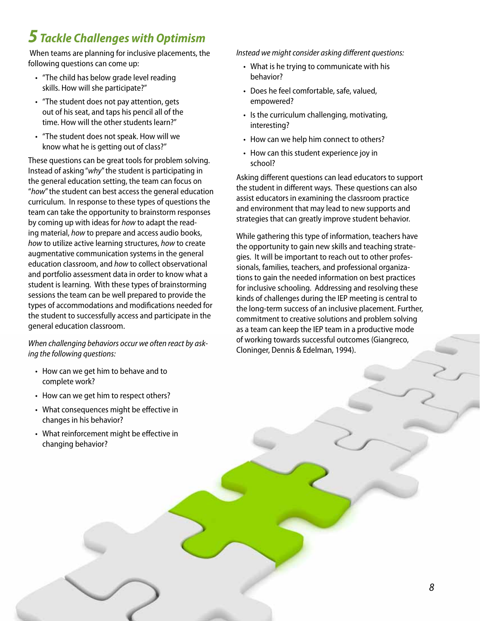### *5 Tackle Challenges with Optimism*

 When teams are planning for inclusive placements, the following questions can come up:

- "The child has below grade level reading skills. How will she participate?"
- "The student does not pay attention, gets out of his seat, and taps his pencil all of the time. How will the other students learn?"
- • "The student does not speak. How will we know what he is getting out of class?"

These questions can be great tools for problem solving. Instead of asking "*why*" the student is participating in the general education setting, the team can focus on "*how*" the student can best access the general education curriculum. In response to these types of questions the team can take the opportunity to brainstorm responses by coming up with ideas for *how* to adapt the reading material, *how* to prepare and access audio books, *how* to utilize active learning structures, *how* to create augmentative communication systems in the general education classroom, and *how* to collect observational and portfolio assessment data in order to know what a student is learning. With these types of brainstorming sessions the team can be well prepared to provide the types of accommodations and modifications needed for the student to successfully access and participate in the general education classroom.

*When challenging behaviors occur we often react by asking the following questions:*

- How can we get him to behave and to complete work?
- How can we get him to respect others?
- What consequences might be effective in changes in his behavior?
- What reinforcement might be effective in changing behavior?

*Instead we might consider asking different questions:*

- What is he trying to communicate with his behavior?
- Does he feel comfortable, safe, valued, empowered?
- Is the curriculum challenging, motivating, interesting?
- How can we help him connect to others?
- How can this student experience joy in school?

Asking different questions can lead educators to support the student in different ways. These questions can also assist educators in examining the classroom practice and environment that may lead to new supports and strategies that can greatly improve student behavior.

While gathering this type of information, teachers have the opportunity to gain new skills and teaching strategies. It will be important to reach out to other professionals, families, teachers, and professional organizations to gain the needed information on best practices for inclusive schooling. Addressing and resolving these kinds of challenges during the IEP meeting is central to the long-term success of an inclusive placement. Further, commitment to creative solutions and problem solving as a team can keep the IEP team in a productive mode of working towards successful outcomes (Giangreco, Cloninger, Dennis & Edelman, 1994).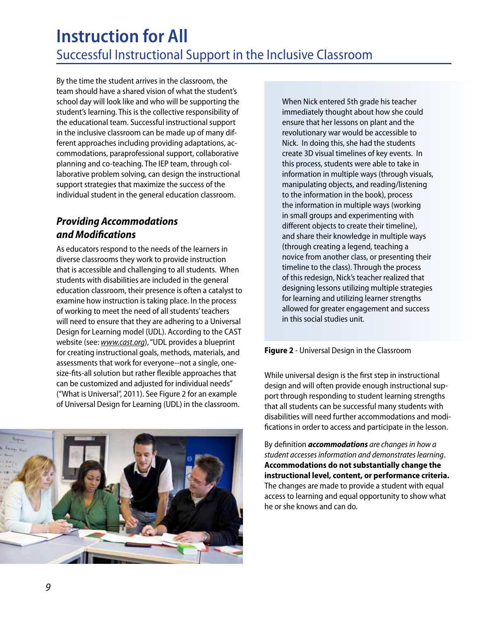## **Instruction for All** Successful Instructional Support in the Inclusive Classroom

By the time the student arrives in the classroom, the team should have a shared vision of what the student's school day will look like and who will be supporting the student's learning. This is the collective responsibility of the educational team. Successful instructional support in the inclusive classroom can be made up of many different approaches including providing adaptations, accommodations, paraprofessional support, collaborative planning and co-teaching. The IEP team, through collaborative problem solving, can design the instructional support strategies that maximize the success of the individual student in the general education classroom.

#### *Providing Accommodations and Modifications*

As educators respond to the needs of the learners in diverse classrooms they work to provide instruction that is accessible and challenging to all students. When students with disabilities are included in the general education classroom, their presence is often a catalyst to examine how instruction is taking place. In the process of working to meet the need of all students' teachers will need to ensure that they are adhering to a Universal Design for Learning model (UDL). According to the CAST website (see: *www.cast.org*), "UDL provides a blueprint for creating instructional goals, methods, materials, and assessments that work for everyone--not a single, onesize-fits-all solution but rather flexible approaches that can be customized and adjusted for individual needs" ("What is Universal", 2011). See Figure 2 for an example of Universal Design for Learning (UDL) in the classroom.



When Nick entered 5th grade his teacher immediately thought about how she could ensure that her lessons on plant and the revolutionary war would be accessible to Nick. In doing this, she had the students create 3D visual timelines of key events. In this process, students were able to take in information in multiple ways (through visuals, manipulating objects, and reading/listening to the information in the book), process the information in multiple ways (working in small groups and experimenting with different objects to create their timeline), and share their knowledge in multiple ways (through creating a legend, teaching a novice from another class, or presenting their timeline to the class). Through the process of this redesign, Nick's teacher realized that designing lessons utilizing multiple strategies for learning and utilizing learner strengths allowed for greater engagement and success in this social studies unit.

#### **Figure 2** - Universal Design in the Classroom

While universal design is the first step in instructional design and will often provide enough instructional support through responding to student learning strengths that all students can be successful many students with disabilities will need further accommodations and modifications in order to access and participate in the lesson.

By definition *accommodations are changes in how a student accesses information and demonstrates learning*. **Accommodations do not substantially change the instructional level, content, or performance criteria.** The changes are made to provide a student with equal access to learning and equal opportunity to show what he or she knows and can do.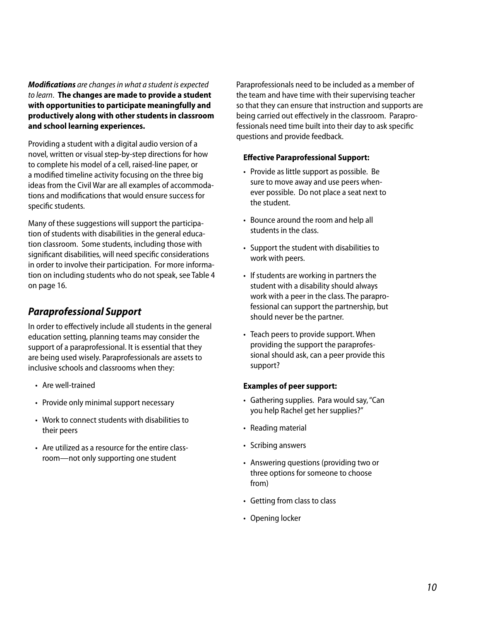*Modifications are changes in what a student is expected to learn*. **The changes are made to provide a student with opportunities to participate meaningfully and productively along with other students in classroom and school learning experiences.**

Providing a student with a digital audio version of a novel, written or visual step-by-step directions for how to complete his model of a cell, raised-line paper, or a modified timeline activity focusing on the three big ideas from the Civil War are all examples of accommodations and modifications that would ensure success for specific students.

Many of these suggestions will support the participation of students with disabilities in the general education classroom. Some students, including those with significant disabilities, will need specific considerations in order to involve their participation. For more information on including students who do not speak, see Table 4 on page 16.

#### *Paraprofessional Support*

In order to effectively include all students in the general education setting, planning teams may consider the support of a paraprofessional. It is essential that they are being used wisely. Paraprofessionals are assets to inclusive schools and classrooms when they:

- Are well-trained
- Provide only minimal support necessary
- Work to connect students with disabilities to their peers
- Are utilized as a resource for the entire classroom—not only supporting one student

Paraprofessionals need to be included as a member of the team and have time with their supervising teacher so that they can ensure that instruction and supports are being carried out effectively in the classroom. Paraprofessionals need time built into their day to ask specific questions and provide feedback.

#### **Effective Paraprofessional Support:**

- Provide as little support as possible. Be sure to move away and use peers whenever possible. Do not place a seat next to the student.
- • Bounce around the room and help all students in the class.
- Support the student with disabilities to work with peers.
- If students are working in partners the student with a disability should always work with a peer in the class. The paraprofessional can support the partnership, but should never be the partner.
- Teach peers to provide support. When providing the support the paraprofessional should ask, can a peer provide this support?

#### **Examples of peer support:**

- Gathering supplies. Para would say, "Can you help Rachel get her supplies?"
- Reading material
- Scribing answers
- Answering questions (providing two or three options for someone to choose from)
- • Getting from class to class
- Opening locker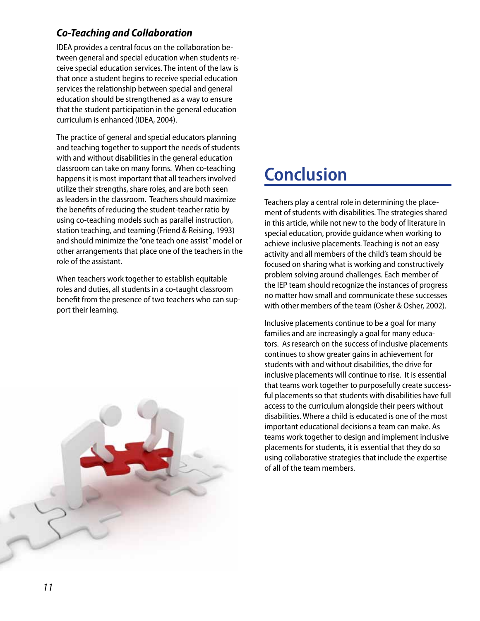#### *Co-Teaching and Collaboration*

IDEA provides a central focus on the collaboration between general and special education when students receive special education services. The intent of the law is that once a student begins to receive special education services the relationship between special and general education should be strengthened as a way to ensure that the student participation in the general education curriculum is enhanced (IDEA, 2004).

The practice of general and special educators planning and teaching together to support the needs of students with and without disabilities in the general education classroom can take on many forms. When co-teaching happens it is most important that all teachers involved utilize their strengths, share roles, and are both seen as leaders in the classroom. Teachers should maximize the benefits of reducing the student-teacher ratio by using co-teaching models such as parallel instruction, station teaching, and teaming (Friend & Reising, 1993) and should minimize the "one teach one assist" model or other arrangements that place one of the teachers in the role of the assistant.

When teachers work together to establish equitable roles and duties, all students in a co-taught classroom benefit from the presence of two teachers who can support their learning.



# **Conclusion**

Teachers play a central role in determining the placement of students with disabilities. The strategies shared in this article, while not new to the body of literature in special education, provide guidance when working to achieve inclusive placements. Teaching is not an easy activity and all members of the child's team should be focused on sharing what is working and constructively problem solving around challenges. Each member of the IEP team should recognize the instances of progress no matter how small and communicate these successes with other members of the team (Osher & Osher, 2002).

Inclusive placements continue to be a goal for many families and are increasingly a goal for many educators. As research on the success of inclusive placements continues to show greater gains in achievement for students with and without disabilities, the drive for inclusive placements will continue to rise. It is essential that teams work together to purposefully create successful placements so that students with disabilities have full access to the curriculum alongside their peers without disabilities. Where a child is educated is one of the most important educational decisions a team can make. As teams work together to design and implement inclusive placements for students, it is essential that they do so using collaborative strategies that include the expertise of all of the team members.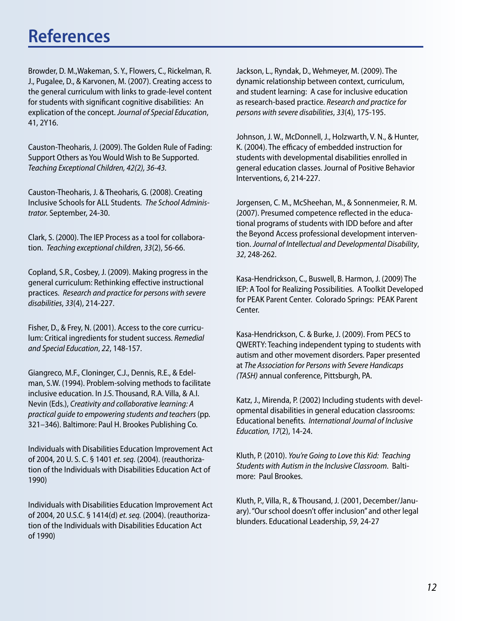# **References**

Browder, D. M.,Wakeman, S. Y., Flowers, C., Rickelman, R. J., Pugalee, D., & Karvonen, M. (2007). Creating access to the general curriculum with links to grade-level content for students with significant cognitive disabilities: An explication of the concept. *Journal of Special Education*, 41, 2Y16.

Causton-Theoharis, J. (2009). The Golden Rule of Fading: Support Others as You Would Wish to Be Supported. *Teaching Exceptional Children, 42(2), 36-43.*

Causton-Theoharis, J. & Theoharis, G. (2008). Creating Inclusive Schools for ALL Students. *The School Administrator.* September, 24-30.

Clark, S. (2000). The IEP Process as a tool for collaboration. *Teaching exceptional children*, *33*(2), 56-66.

Copland, S.R., Cosbey, J. (2009). Making progress in the general curriculum: Rethinking effective instructional practices. *Research and practice for persons with severe disabilities*, *33*(4), 214-227.

Fisher, D., & Frey, N. (2001). Access to the core curriculum: Critical ingredients for student success. *Remedial and Special Education*, *22*, 148-157.

Giangreco, M.F., Cloninger, C.J., Dennis, R.E., & Edelman, S.W. (1994). Problem-solving methods to facilitate inclusive education. In J.S. Thousand, R.A. Villa, & A.I. Nevin (Eds.), *Creativity and collaborative learning: A practical guide to empowering students and teachers* (pp. 321–346). Baltimore: Paul H. Brookes Publishing Co.

Individuals with Disabilities Education Improvement Act of 2004, 20 U. S. C. § 1401 *et. seq.* (2004). (reauthorization of the Individuals with Disabilities Education Act of 1990)

Individuals with Disabilities Education Improvement Act of 2004, 20 U.S.C. § 1414(d) *et. seq.* (2004). (reauthorization of the Individuals with Disabilities Education Act of 1990)

Jackson, L., Ryndak, D., Wehmeyer, M. (2009). The dynamic relationship between context, curriculum, and student learning: A case for inclusive education as research-based practice. *Research and practice for persons with severe disabilities*, *33*(4), 175-195.

Johnson, J. W., McDonnell, J., Holzwarth, V. N., & Hunter, K. (2004). The efficacy of embedded instruction for students with developmental disabilities enrolled in general education classes. Journal of Positive Behavior Interventions, *6*, 214-227.

Jorgensen, C. M., McSheehan, M., & Sonnenmeier, R. M. (2007). Presumed competence reflected in the educational programs of students with IDD before and after the Beyond Access professional development intervention. *Journal of Intellectual and Developmental Disability*, *32*, 248-262.

Kasa-Hendrickson, C., Buswell, B. Harmon, J. (2009) The IEP: A Tool for Realizing Possibilities. A Toolkit Developed for PEAK Parent Center. Colorado Springs: PEAK Parent Center.

Kasa-Hendrickson, C. & Burke, J. (2009). From PECS to QWERTY: Teaching independent typing to students with autism and other movement disorders. Paper presented at *The Association for Persons with Severe Handicaps (TASH)* annual conference, Pittsburgh, PA.

Katz, J., Mirenda, P. (2002) Including students with developmental disabilities in general education classrooms: Educational benefits. *International Journal of Inclusive Education, 17*(2), 14-24.

Kluth, P. (2010). *You're Going to Love this Kid: Teaching Students with Autism in the Inclusive Classroom*. Baltimore: Paul Brookes.

Kluth, P., Villa, R., & Thousand, J. (2001, December/January). "Our school doesn't offer inclusion" and other legal blunders. Educational Leadership, *59*, 24-27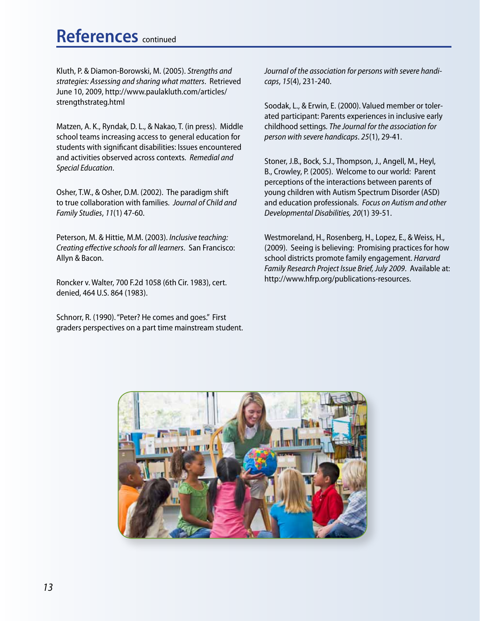# **References** continued

Kluth, P. & Diamon-Borowski, M. (2005). *Strengths and strategies: Assessing and sharing what matters*. Retrieved June 10, 2009, http://www.paulakluth.com/articles/ strengthstrateg.html

Matzen, A. K., Ryndak, D. L., & Nakao, T. (in press). Middle school teams increasing access to general education for students with significant disabilities: Issues encountered and activities observed across contexts. *Remedial and Special Education*.

Osher, T.W., & Osher, D.M. (2002). The paradigm shift to true collaboration with families. *Journal of Child and Family Studies*, *11*(1) 47-60.

Peterson, M. & Hittie, M.M. (2003). *Inclusive teaching: Creating effective schools for all learners*. San Francisco: Allyn & Bacon.

Roncker v. Walter, 700 F.2d 1058 (6th Cir. 1983), cert. denied, 464 U.S. 864 (1983).

Schnorr, R. (1990). "Peter? He comes and goes." First graders perspectives on a part time mainstream student. *Journal of the association for persons with severe handicaps*, *15*(4), 231-240.

Soodak, L., & Erwin, E. (2000). Valued member or tolerated participant: Parents experiences in inclusive early childhood settings*. The Journal for the association for person with severe handicaps*. *25*(1), 29-41.

Stoner, J.B., Bock, S.J., Thompson, J., Angell, M., Heyl, B., Crowley, P. (2005). Welcome to our world: Parent perceptions of the interactions between parents of young children with Autism Spectrum Disorder (ASD) and education professionals. *Focus on Autism and other Developmental Disabilities, 20*(1) 39-51.

Westmoreland, H., Rosenberg, H., Lopez, E., & Weiss, H., (2009). Seeing is believing: Promising practices for how school districts promote family engagement. *Harvard Family Research Project Issue Brief, July 2009*. Available at: http://www.hfrp.org/publications-resources.

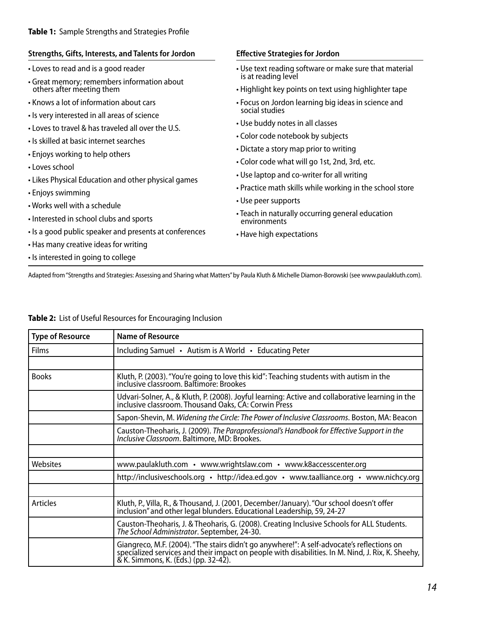#### **Table 1:** Sample Strengths and Strategies Profile

- Loves to read and is a good reader
- Great memory; remembers information about others after meeting them
- Knows a lot of information about cars
- Is very interested in all areas of science
- Loves to travel & has traveled all over the U.S.
- Is skilled at basic internet searches
- Enjoys working to help others
- Loves school
- Likes Physical Education and other physical games
- Enjoys swimming
- Works well with a schedule
- Interested in school clubs and sports
- Is a good public speaker and presents at conferences
- Has many creative ideas for writing
- Is interested in going to college

#### **Effective Strategies for Jordon**

- Use text reading software or make sure that material is at reading level
- Highlight key points on text using highlighter tape
- Focus on Jordon learning big ideas in science and social studies
- Use buddy notes in all classes
- Color code notebook by subjects
- Dictate a story map prior to writing
- Color code what will go 1st, 2nd, 3rd, etc.
- Use laptop and co-writer for all writing
- Practice math skills while working in the school store
- Use peer supports
- Teach in naturally occurring general education environments
- Have high expectations

Adapted from "Strengths and Strategies: Assessing and Sharing what Matters" by Paula Kluth & Michelle Diamon-Borowski (see www.paulakluth.com).

#### **Table 2:** List of Useful Resources for Encouraging Inclusion

| <b>Type of Resource</b> | <b>Name of Resource</b>                                                                                                                                                                                                                 |
|-------------------------|-----------------------------------------------------------------------------------------------------------------------------------------------------------------------------------------------------------------------------------------|
| Films                   | Including Samuel • Autism is A World • Educating Peter                                                                                                                                                                                  |
|                         |                                                                                                                                                                                                                                         |
| <b>Books</b>            | Kluth, P. (2003). "You're going to love this kid": Teaching students with autism in the<br>inclusive classroom. Baltimore: Brookes                                                                                                      |
|                         | Udvari-Solner, A., & Kluth, P. (2008). Joyful learning: Active and collaborative learning in the<br>inclusive classroom. Thousand Oaks, CA: Corwin Press                                                                                |
|                         | Sapon-Shevin, M. Widening the Circle: The Power of Inclusive Classrooms. Boston, MA: Beacon                                                                                                                                             |
|                         | Causton-Theoharis, J. (2009). The Paraprofessional's Handbook for Effective Support in the<br>Inclusive Classroom. Baltimore, MD: Brookes.                                                                                              |
|                         |                                                                                                                                                                                                                                         |
| Websites                | www.paulakluth.com • www.wrightslaw.com • www.k8accesscenter.org                                                                                                                                                                        |
|                         | http://inclusiveschools.org • http://idea.ed.gov • www.taalliance.org • www.nichcy.org                                                                                                                                                  |
|                         |                                                                                                                                                                                                                                         |
| <b>Articles</b>         | Kluth, P., Villa, R., & Thousand, J. (2001, December/January). "Our school doesn't offer<br>inclusion" and other legal blunders. Educational Leadership, 59, 24-27                                                                      |
|                         | Causton-Theoharis, J. & Theoharis, G. (2008). Creating Inclusive Schools for ALL Students.<br>The School Administrator. September, 24-30.                                                                                               |
|                         | Giangreco, M.F. (2004). "The stairs didn't go anywhere!": A self-advocate's reflections on<br>specialized services and their impact on people with disabilities. In M. Nind, J. Rix, K. Sheehy,<br>& K. Simmons, K. (Eds.) (pp. 32-42). |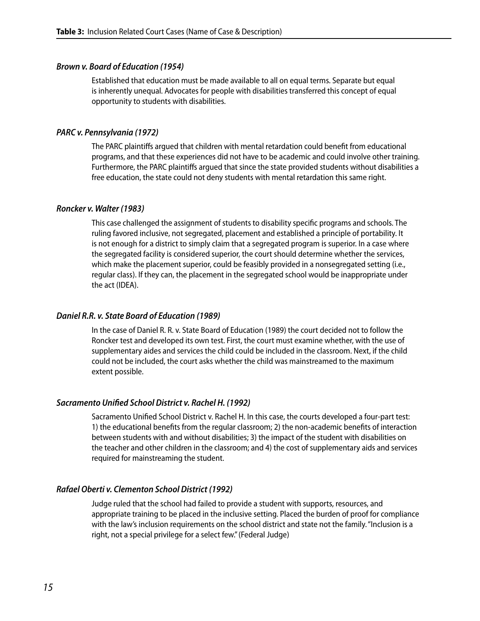#### *Brown v. Board of Education (1954)*

Established that education must be made available to all on equal terms. Separate but equal is inherently unequal. Advocates for people with disabilities transferred this concept of equal opportunity to students with disabilities.

#### *PARC v. Pennsylvania (1972)*

The PARC plaintiffs argued that children with mental retardation could benefit from educational programs, and that these experiences did not have to be academic and could involve other training. Furthermore, the PARC plaintiffs argued that since the state provided students without disabilities a free education, the state could not deny students with mental retardation this same right.

#### *Roncker v. Walter (1983)*

This case challenged the assignment of students to disability specific programs and schools. The ruling favored inclusive, not segregated, placement and established a principle of portability. It is not enough for a district to simply claim that a segregated program is superior. In a case where the segregated facility is considered superior, the court should determine whether the services, which make the placement superior, could be feasibly provided in a nonsegregated setting (i.e., regular class). If they can, the placement in the segregated school would be inappropriate under the act (IDEA).

#### *Daniel R.R. v. State Board of Education (1989)*

In the case of Daniel R. R. v. State Board of Education (1989) the court decided not to follow the Roncker test and developed its own test. First, the court must examine whether, with the use of supplementary aides and services the child could be included in the classroom. Next, if the child could not be included, the court asks whether the child was mainstreamed to the maximum extent possible.

#### *Sacramento Unified School District v. Rachel H. (1992)*

Sacramento Unified School District v. Rachel H. In this case, the courts developed a four-part test: 1) the educational benefits from the regular classroom; 2) the non-academic benefits of interaction between students with and without disabilities; 3) the impact of the student with disabilities on the teacher and other children in the classroom; and 4) the cost of supplementary aids and services required for mainstreaming the student.

#### *Rafael Oberti v. Clementon School District (1992)*

Judge ruled that the school had failed to provide a student with supports, resources, and appropriate training to be placed in the inclusive setting. Placed the burden of proof for compliance with the law's inclusion requirements on the school district and state not the family. "Inclusion is a right, not a special privilege for a select few." (Federal Judge)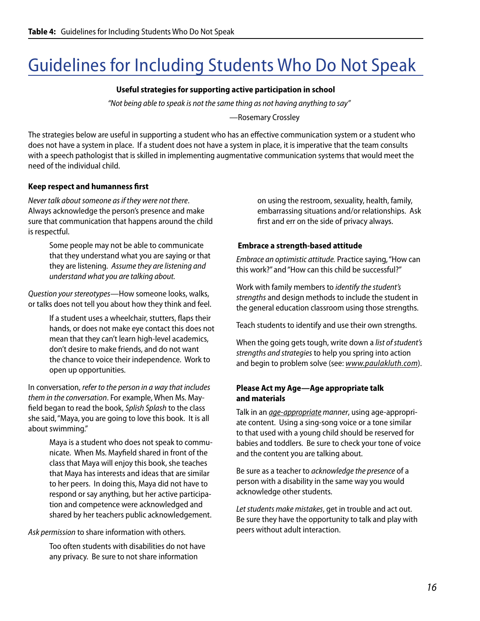# Guidelines for Including Students Who Do Not Speak

#### **Useful strategies for supporting active participation in school**

*"Not being able to speak is not the same thing as not having anything to say"* —Rosemary Crossley

The strategies below are useful in supporting a student who has an effective communication system or a student who does not have a system in place. If a student does not have a system in place, it is imperative that the team consults with a speech pathologist that is skilled in implementing augmentative communication systems that would meet the need of the individual child.

#### **Keep respect and humanness first**

*Never talk about someone as if they were not there*. Always acknowledge the person's presence and make sure that communication that happens around the child is respectful.

> Some people may not be able to communicate that they understand what you are saying or that they are listening. *Assume they are listening and understand what you are talking about.*

*Question your stereotypes*—How someone looks, walks, or talks does not tell you about how they think and feel.

> If a student uses a wheelchair, stutters, flaps their hands, or does not make eye contact this does not mean that they can't learn high-level academics, don't desire to make friends, and do not want the chance to voice their independence. Work to open up opportunities.

In conversation, *refer to the person in a way that includes them in the conversation*. For example, When Ms. Mayfield began to read the book, *Splish Splash* to the class she said, "Maya, you are going to love this book. It is all about swimming."

> Maya is a student who does not speak to communicate. When Ms. Mayfield shared in front of the class that Maya will enjoy this book, she teaches that Maya has interests and ideas that are similar to her peers. In doing this, Maya did not have to respond or say anything, but her active participation and competence were acknowledged and shared by her teachers public acknowledgement.

*Ask permission* to share information with others.

Too often students with disabilities do not have any privacy. Be sure to not share information

on using the restroom, sexuality, health, family, embarrassing situations and/or relationships. Ask first and err on the side of privacy always.

#### **Embrace a strength-based attitude**

*Embrace an optimistic attitude.* Practice saying, "How can this work?" and "How can this child be successful?"

Work with family members to *identify the student's strengths* and design methods to include the student in the general education classroom using those strengths.

Teach students to identify and use their own strengths.

When the going gets tough, write down a *list of student's strengths and strategies* to help you spring into action and begin to problem solve (see: *www.paulakluth.com*).

#### **Please Act my Age—Age appropriate talk and materials**

Talk in an *age-appropriate manner*, using age-appropriate content. Using a sing-song voice or a tone similar to that used with a young child should be reserved for babies and toddlers. Be sure to check your tone of voice and the content you are talking about.

Be sure as a teacher to *acknowledge the presence* of a person with a disability in the same way you would acknowledge other students.

*Let students make mistakes*, get in trouble and act out. Be sure they have the opportunity to talk and play with peers without adult interaction.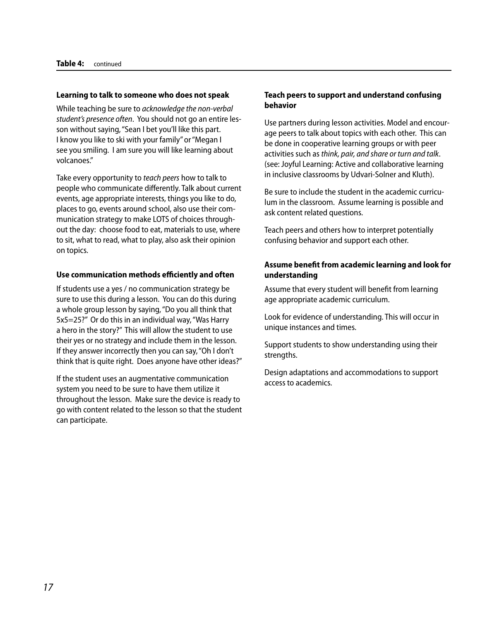#### **Learning to talk to someone who does not speak**

While teaching be sure to *acknowledge the non-verbal student's presence often*. You should not go an entire lesson without saying, "Sean I bet you'll like this part. I know you like to ski with your family" or "Megan I see you smiling. I am sure you will like learning about volcanoes."

Take every opportunity to *teach peers* how to talk to people who communicate differently. Talk about current events, age appropriate interests, things you like to do, places to go, events around school, also use their communication strategy to make LOTS of choices throughout the day: choose food to eat, materials to use, where to sit, what to read, what to play, also ask their opinion on topics.

#### **Use communication methods efficiently and often**

If students use a yes / no communication strategy be sure to use this during a lesson. You can do this during a whole group lesson by saying, "Do you all think that 5x5=25?" Or do this in an individual way, "Was Harry a hero in the story?" This will allow the student to use their yes or no strategy and include them in the lesson. If they answer incorrectly then you can say, "Oh I don't think that is quite right. Does anyone have other ideas?"

If the student uses an augmentative communication system you need to be sure to have them utilize it throughout the lesson. Make sure the device is ready to go with content related to the lesson so that the student can participate.

#### **Teach peers to support and understand confusing behavior**

Use partners during lesson activities. Model and encourage peers to talk about topics with each other. This can be done in cooperative learning groups or with peer activities such as *think, pair, and share or turn and talk*. (see: Joyful Learning: Active and collaborative learning in inclusive classrooms by Udvari-Solner and Kluth).

Be sure to include the student in the academic curriculum in the classroom. Assume learning is possible and ask content related questions.

Teach peers and others how to interpret potentially confusing behavior and support each other.

#### **Assume benefit from academic learning and look for understanding**

Assume that every student will benefit from learning age appropriate academic curriculum.

Look for evidence of understanding. This will occur in unique instances and times.

Support students to show understanding using their strengths.

Design adaptations and accommodations to support access to academics.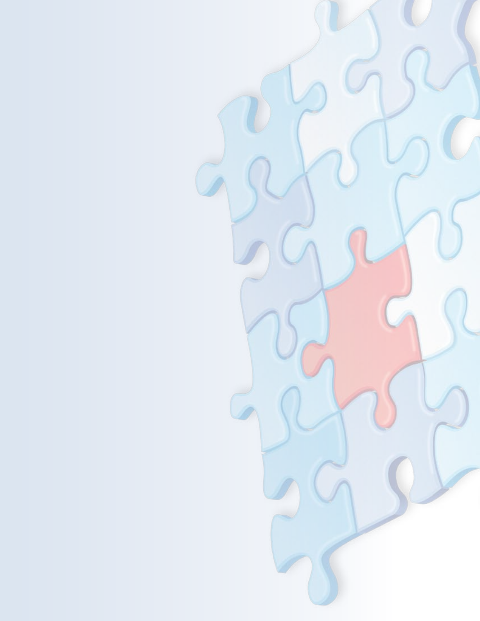